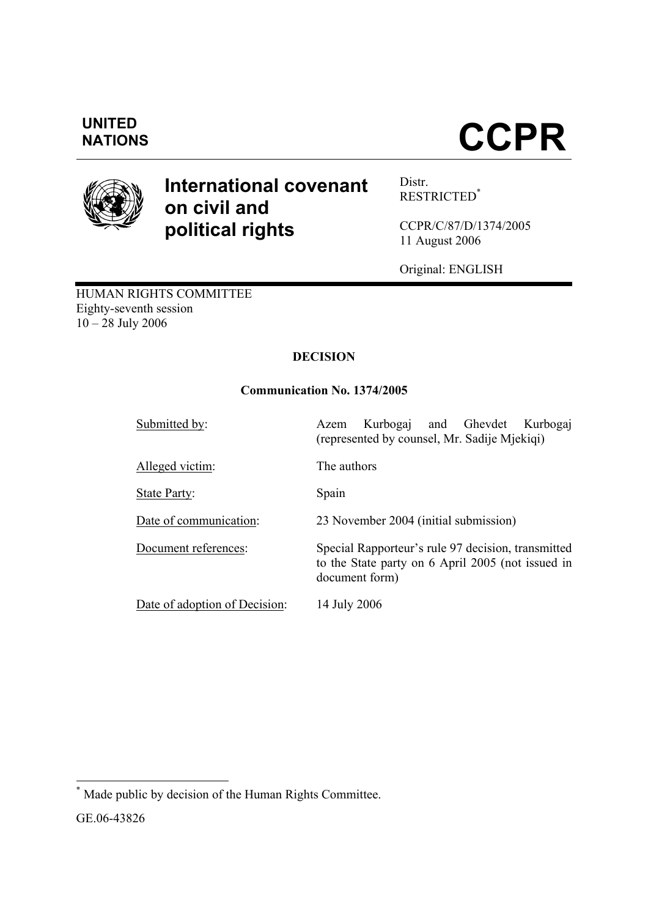## **UNITED**

# **NATIONS CCPR**



### **International covenant on civil and political rights**

Distr. RESTRICTED\*

CCPR/C/87/D/1374/2005 11 August 2006

Original: ENGLISH

HUMAN RIGHTS COMMITTEE Eighty-seventh session  $10 - 28$  July 2006

#### **DECISION**

#### **Communication No. 1374/2005**

| Submitted by:                 | Kurbogaj and Ghevdet<br>Kurbogai<br>Azem<br>(represented by counsel, Mr. Sadije Mjekiqi)                                  |
|-------------------------------|---------------------------------------------------------------------------------------------------------------------------|
| Alleged victim:               | The authors                                                                                                               |
| State Party:                  | Spain                                                                                                                     |
| Date of communication:        | 23 November 2004 (initial submission)                                                                                     |
| Document references:          | Special Rapporteur's rule 97 decision, transmitted<br>to the State party on 6 April 2005 (not issued in<br>document form) |
| Date of adoption of Decision: | 14 July 2006                                                                                                              |

 \* Made public by decision of the Human Rights Committee.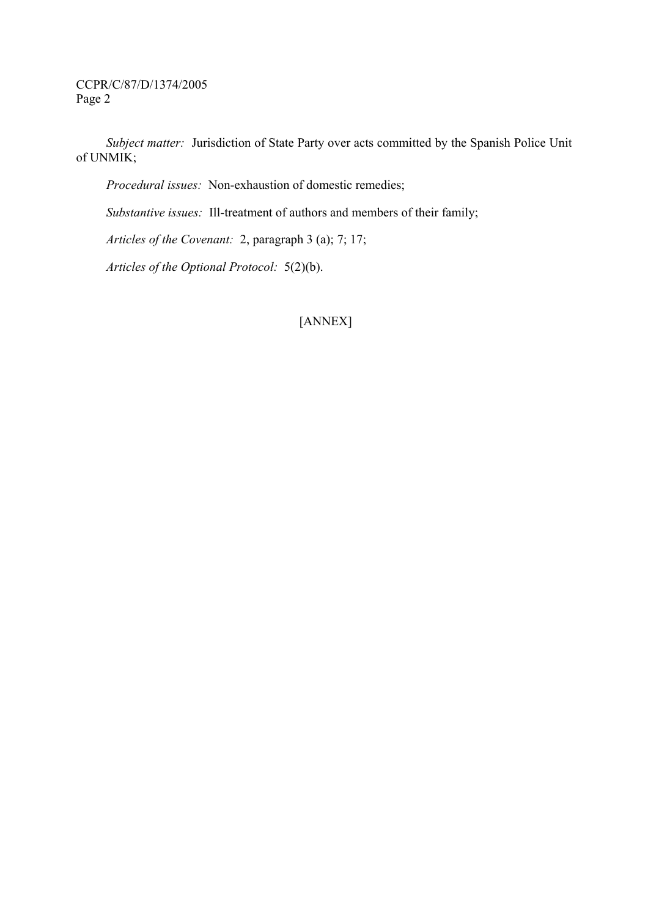*Subject matter:* Jurisdiction of State Party over acts committed by the Spanish Police Unit of UNMIK;

 *Procedural issues:* Non-exhaustion of domestic remedies;

 *Substantive issues:* Ill-treatment of authors and members of their family;

 *Articles of the Covenant:* 2, paragraph 3 (a); 7; 17;

 *Articles of the Optional Protocol:* 5(2)(b).

#### [ANNEX]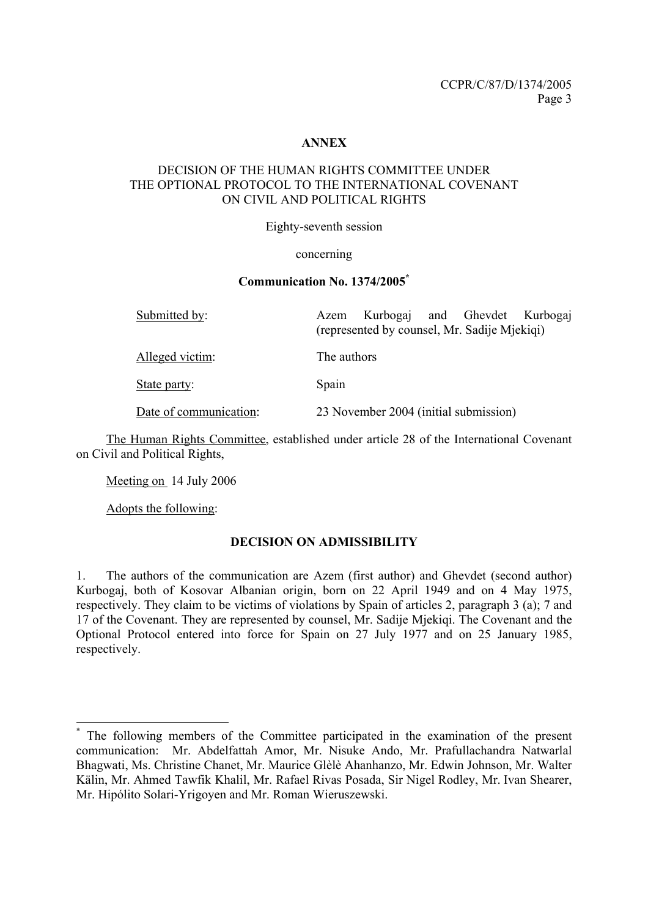#### **ANNEX**

#### DECISION OF THE HUMAN RIGHTS COMMITTEE UNDER THE OPTIONAL PROTOCOL TO THE INTERNATIONAL COVENANT ON CIVIL AND POLITICAL RIGHTS

Eighty-seventh session

#### concerning

#### **Communication No. 1374/2005\***

| Submitted by:          | Kurbogaj and Ghevdet Kurbogaj<br>Azem<br>(represented by counsel, Mr. Sadije Mjekiqi) |
|------------------------|---------------------------------------------------------------------------------------|
| Alleged victim:        | The authors                                                                           |
| State party:           | Spain                                                                                 |
| Date of communication: | 23 November 2004 (initial submission)                                                 |

 The Human Rights Committee, established under article 28 of the International Covenant on Civil and Political Rights,

Meeting on 14 July 2006

Adopts the following:

-

#### **DECISION ON ADMISSIBILITY**

1. The authors of the communication are Azem (first author) and Ghevdet (second author) Kurbogaj, both of Kosovar Albanian origin, born on 22 April 1949 and on 4 May 1975, respectively. They claim to be victims of violations by Spain of articles 2, paragraph 3 (a); 7 and 17 of the Covenant. They are represented by counsel, Mr. Sadije Mjekiqi. The Covenant and the Optional Protocol entered into force for Spain on 27 July 1977 and on 25 January 1985, respectively.

<sup>\*</sup> The following members of the Committee participated in the examination of the present communication: Mr. Abdelfattah Amor, Mr. Nisuke Ando, Mr. Prafullachandra Natwarlal Bhagwati, Ms. Christine Chanet, Mr. Maurice Glèlè Ahanhanzo, Mr. Edwin Johnson, Mr. Walter Kälin, Mr. Ahmed Tawfik Khalil, Mr. Rafael Rivas Posada, Sir Nigel Rodley, Mr. Ivan Shearer, Mr. Hipólito Solari-Yrigoyen and Mr. Roman Wieruszewski.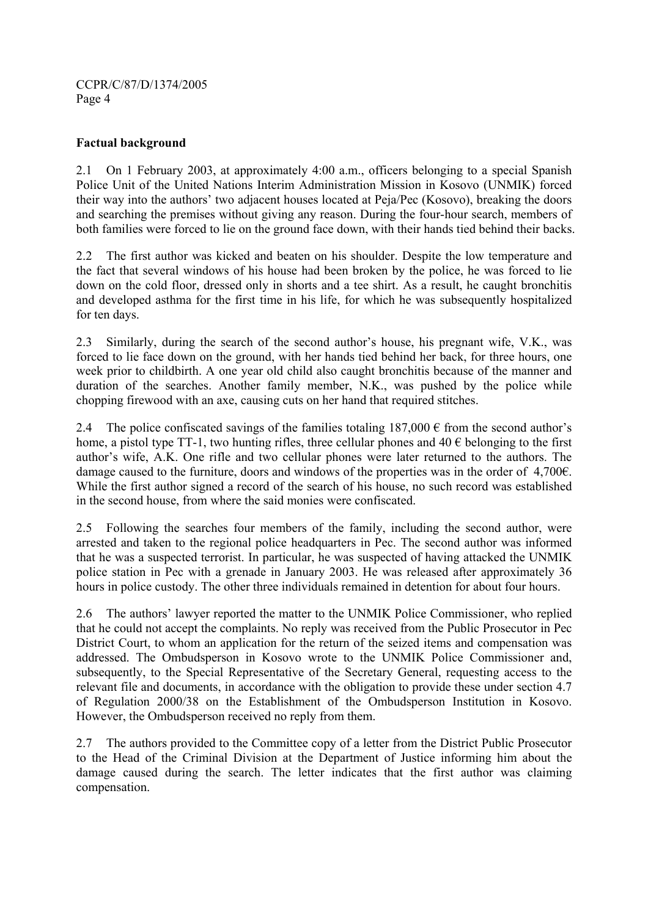#### **Factual background**

2.1 On 1 February 2003, at approximately 4:00 a.m., officers belonging to a special Spanish Police Unit of the United Nations Interim Administration Mission in Kosovo (UNMIK) forced their way into the authors' two adjacent houses located at Peja/Pec (Kosovo), breaking the doors and searching the premises without giving any reason. During the four-hour search, members of both families were forced to lie on the ground face down, with their hands tied behind their backs.

2.2 The first author was kicked and beaten on his shoulder. Despite the low temperature and the fact that several windows of his house had been broken by the police, he was forced to lie down on the cold floor, dressed only in shorts and a tee shirt. As a result, he caught bronchitis and developed asthma for the first time in his life, for which he was subsequently hospitalized for ten days.

2.3 Similarly, during the search of the second author's house, his pregnant wife, V.K., was forced to lie face down on the ground, with her hands tied behind her back, for three hours, one week prior to childbirth. A one year old child also caught bronchitis because of the manner and duration of the searches. Another family member, N.K., was pushed by the police while chopping firewood with an axe, causing cuts on her hand that required stitches.

2.4 The police confiscated savings of the families totaling  $187,000 \in$  from the second author's home, a pistol type TT-1, two hunting rifles, three cellular phones and  $40 \in$  belonging to the first author's wife, A.K. One rifle and two cellular phones were later returned to the authors. The damage caused to the furniture, doors and windows of the properties was in the order of 4,700€. While the first author signed a record of the search of his house, no such record was established in the second house, from where the said monies were confiscated.

2.5 Following the searches four members of the family, including the second author, were arrested and taken to the regional police headquarters in Pec. The second author was informed that he was a suspected terrorist. In particular, he was suspected of having attacked the UNMIK police station in Pec with a grenade in January 2003. He was released after approximately 36 hours in police custody. The other three individuals remained in detention for about four hours.

2.6 The authors' lawyer reported the matter to the UNMIK Police Commissioner, who replied that he could not accept the complaints. No reply was received from the Public Prosecutor in Pec District Court, to whom an application for the return of the seized items and compensation was addressed. The Ombudsperson in Kosovo wrote to the UNMIK Police Commissioner and, subsequently, to the Special Representative of the Secretary General, requesting access to the relevant file and documents, in accordance with the obligation to provide these under section 4.7 of Regulation 2000/38 on the Establishment of the Ombudsperson Institution in Kosovo. However, the Ombudsperson received no reply from them.

2.7 The authors provided to the Committee copy of a letter from the District Public Prosecutor to the Head of the Criminal Division at the Department of Justice informing him about the damage caused during the search. The letter indicates that the first author was claiming compensation.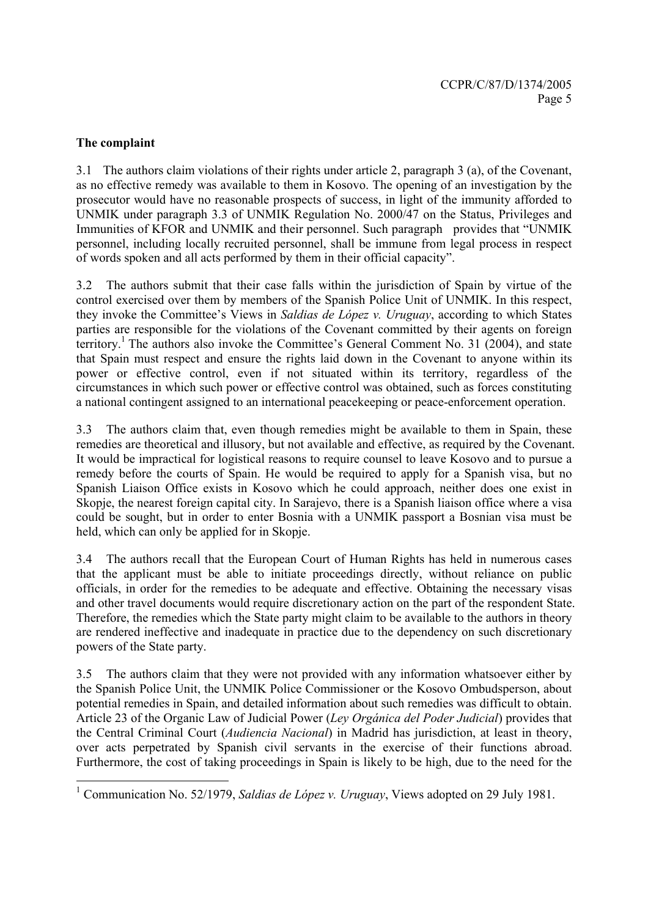#### **The complaint**

-

3.1 The authors claim violations of their rights under article 2, paragraph 3 (a), of the Covenant, as no effective remedy was available to them in Kosovo. The opening of an investigation by the prosecutor would have no reasonable prospects of success, in light of the immunity afforded to UNMIK under paragraph 3.3 of UNMIK Regulation No. 2000/47 on the Status, Privileges and Immunities of KFOR and UNMIK and their personnel. Such paragraph provides that "UNMIK personnel, including locally recruited personnel, shall be immune from legal process in respect of words spoken and all acts performed by them in their official capacity".

3.2 The authors submit that their case falls within the jurisdiction of Spain by virtue of the control exercised over them by members of the Spanish Police Unit of UNMIK. In this respect, they invoke the Committee's Views in *Saldias de López v. Uruguay*, according to which States parties are responsible for the violations of the Covenant committed by their agents on foreign territory.<sup>1</sup> The authors also invoke the Committee's General Comment No. 31 (2004), and state that Spain must respect and ensure the rights laid down in the Covenant to anyone within its power or effective control, even if not situated within its territory, regardless of the circumstances in which such power or effective control was obtained, such as forces constituting a national contingent assigned to an international peacekeeping or peace-enforcement operation.

3.3 The authors claim that, even though remedies might be available to them in Spain, these remedies are theoretical and illusory, but not available and effective, as required by the Covenant. It would be impractical for logistical reasons to require counsel to leave Kosovo and to pursue a remedy before the courts of Spain. He would be required to apply for a Spanish visa, but no Spanish Liaison Office exists in Kosovo which he could approach, neither does one exist in Skopje, the nearest foreign capital city. In Sarajevo, there is a Spanish liaison office where a visa could be sought, but in order to enter Bosnia with a UNMIK passport a Bosnian visa must be held, which can only be applied for in Skopje.

3.4 The authors recall that the European Court of Human Rights has held in numerous cases that the applicant must be able to initiate proceedings directly, without reliance on public officials, in order for the remedies to be adequate and effective. Obtaining the necessary visas and other travel documents would require discretionary action on the part of the respondent State. Therefore, the remedies which the State party might claim to be available to the authors in theory are rendered ineffective and inadequate in practice due to the dependency on such discretionary powers of the State party.

3.5 The authors claim that they were not provided with any information whatsoever either by the Spanish Police Unit, the UNMIK Police Commissioner or the Kosovo Ombudsperson, about potential remedies in Spain, and detailed information about such remedies was difficult to obtain. Article 23 of the Organic Law of Judicial Power (*Ley Orgánica del Poder Judicial*) provides that the Central Criminal Court (*Audiencia Nacional*) in Madrid has jurisdiction, at least in theory, over acts perpetrated by Spanish civil servants in the exercise of their functions abroad. Furthermore, the cost of taking proceedings in Spain is likely to be high, due to the need for the

<sup>&</sup>lt;sup>1</sup> Communication No. 52/1979, *Saldias de López v. Uruguay*, Views adopted on 29 July 1981.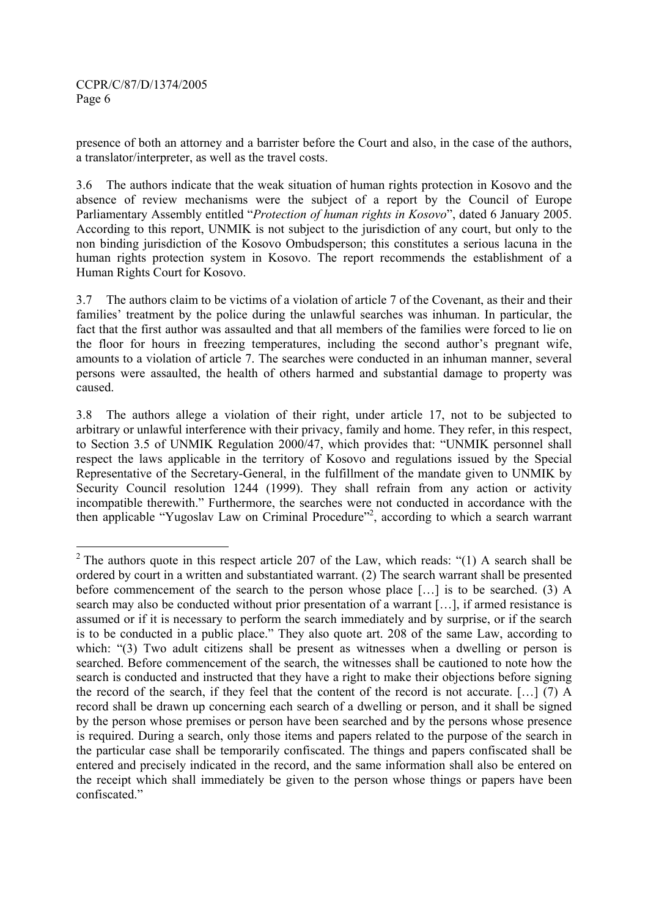presence of both an attorney and a barrister before the Court and also, in the case of the authors, a translator/interpreter, as well as the travel costs.

3.6 The authors indicate that the weak situation of human rights protection in Kosovo and the absence of review mechanisms were the subject of a report by the Council of Europe Parliamentary Assembly entitled "*Protection of human rights in Kosovo*", dated 6 January 2005. According to this report, UNMIK is not subject to the jurisdiction of any court, but only to the non binding jurisdiction of the Kosovo Ombudsperson; this constitutes a serious lacuna in the human rights protection system in Kosovo. The report recommends the establishment of a Human Rights Court for Kosovo.

3.7 The authors claim to be victims of a violation of article 7 of the Covenant, as their and their families' treatment by the police during the unlawful searches was inhuman. In particular, the fact that the first author was assaulted and that all members of the families were forced to lie on the floor for hours in freezing temperatures, including the second author's pregnant wife, amounts to a violation of article 7. The searches were conducted in an inhuman manner, several persons were assaulted, the health of others harmed and substantial damage to property was caused.

3.8 The authors allege a violation of their right, under article 17, not to be subjected to arbitrary or unlawful interference with their privacy, family and home. They refer, in this respect, to Section 3.5 of UNMIK Regulation 2000/47, which provides that: "UNMIK personnel shall respect the laws applicable in the territory of Kosovo and regulations issued by the Special Representative of the Secretary-General, in the fulfillment of the mandate given to UNMIK by Security Council resolution 1244 (1999). They shall refrain from any action or activity incompatible therewith." Furthermore, the searches were not conducted in accordance with the then applicable "Yugoslav Law on Criminal Procedure"<sup>2</sup>, according to which a search warrant

<sup>&</sup>lt;sup>2</sup> The authors quote in this respect article 207 of the Law, which reads: "(1) A search shall be ordered by court in a written and substantiated warrant. (2) The search warrant shall be presented before commencement of the search to the person whose place […] is to be searched. (3) A search may also be conducted without prior presentation of a warrant [...], if armed resistance is assumed or if it is necessary to perform the search immediately and by surprise, or if the search is to be conducted in a public place." They also quote art. 208 of the same Law, according to which: "(3) Two adult citizens shall be present as witnesses when a dwelling or person is searched. Before commencement of the search, the witnesses shall be cautioned to note how the search is conducted and instructed that they have a right to make their objections before signing the record of the search, if they feel that the content of the record is not accurate. […] (7) A record shall be drawn up concerning each search of a dwelling or person, and it shall be signed by the person whose premises or person have been searched and by the persons whose presence is required. During a search, only those items and papers related to the purpose of the search in the particular case shall be temporarily confiscated. The things and papers confiscated shall be entered and precisely indicated in the record, and the same information shall also be entered on the receipt which shall immediately be given to the person whose things or papers have been confiscated."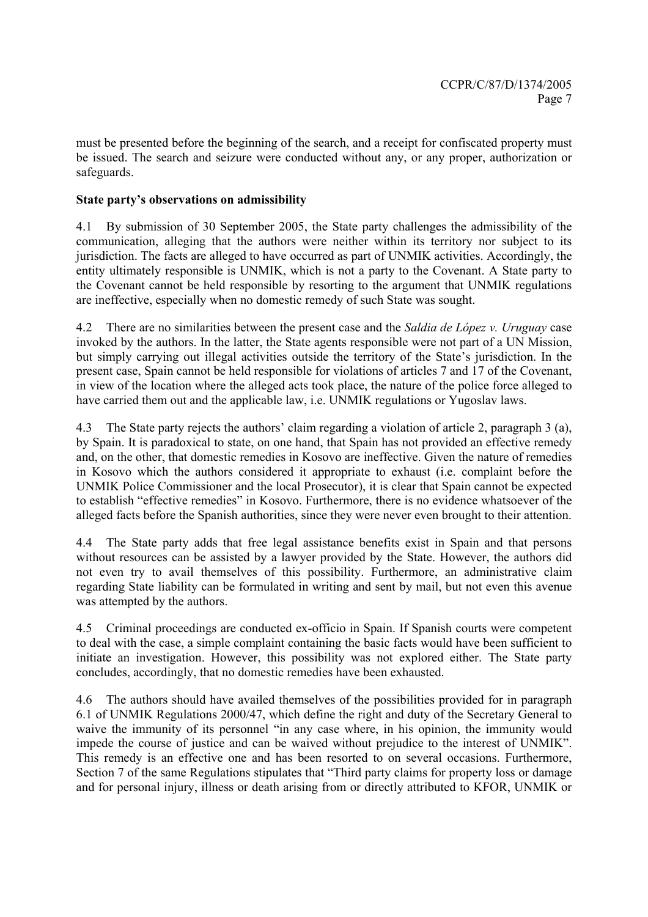must be presented before the beginning of the search, and a receipt for confiscated property must be issued. The search and seizure were conducted without any, or any proper, authorization or safeguards.

#### **State party's observations on admissibility**

4.1 By submission of 30 September 2005, the State party challenges the admissibility of the communication, alleging that the authors were neither within its territory nor subject to its jurisdiction. The facts are alleged to have occurred as part of UNMIK activities. Accordingly, the entity ultimately responsible is UNMIK, which is not a party to the Covenant. A State party to the Covenant cannot be held responsible by resorting to the argument that UNMIK regulations are ineffective, especially when no domestic remedy of such State was sought.

4.2 There are no similarities between the present case and the *Saldia de López v. Uruguay* case invoked by the authors. In the latter, the State agents responsible were not part of a UN Mission, but simply carrying out illegal activities outside the territory of the State's jurisdiction. In the present case, Spain cannot be held responsible for violations of articles 7 and 17 of the Covenant, in view of the location where the alleged acts took place, the nature of the police force alleged to have carried them out and the applicable law, i.e. UNMIK regulations or Yugoslav laws.

4.3 The State party rejects the authors' claim regarding a violation of article 2, paragraph 3 (a), by Spain. It is paradoxical to state, on one hand, that Spain has not provided an effective remedy and, on the other, that domestic remedies in Kosovo are ineffective. Given the nature of remedies in Kosovo which the authors considered it appropriate to exhaust (i.e. complaint before the UNMIK Police Commissioner and the local Prosecutor), it is clear that Spain cannot be expected to establish "effective remedies" in Kosovo. Furthermore, there is no evidence whatsoever of the alleged facts before the Spanish authorities, since they were never even brought to their attention.

4.4 The State party adds that free legal assistance benefits exist in Spain and that persons without resources can be assisted by a lawyer provided by the State. However, the authors did not even try to avail themselves of this possibility. Furthermore, an administrative claim regarding State liability can be formulated in writing and sent by mail, but not even this avenue was attempted by the authors.

4.5 Criminal proceedings are conducted ex-officio in Spain. If Spanish courts were competent to deal with the case, a simple complaint containing the basic facts would have been sufficient to initiate an investigation. However, this possibility was not explored either. The State party concludes, accordingly, that no domestic remedies have been exhausted.

4.6 The authors should have availed themselves of the possibilities provided for in paragraph 6.1 of UNMIK Regulations 2000/47, which define the right and duty of the Secretary General to waive the immunity of its personnel "in any case where, in his opinion, the immunity would impede the course of justice and can be waived without prejudice to the interest of UNMIK". This remedy is an effective one and has been resorted to on several occasions. Furthermore, Section 7 of the same Regulations stipulates that "Third party claims for property loss or damage and for personal injury, illness or death arising from or directly attributed to KFOR, UNMIK or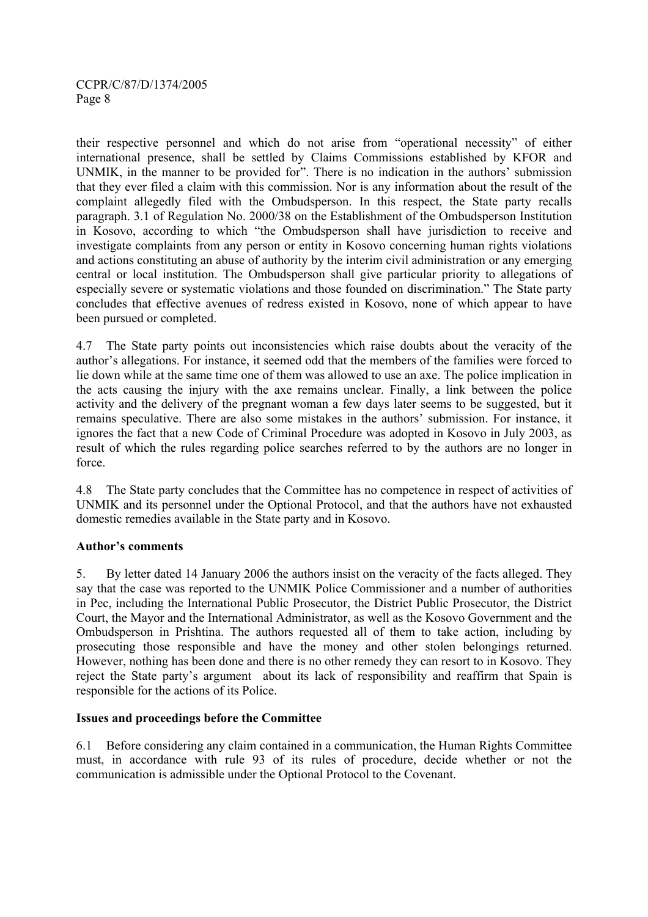their respective personnel and which do not arise from "operational necessity" of either international presence, shall be settled by Claims Commissions established by KFOR and UNMIK, in the manner to be provided for". There is no indication in the authors' submission that they ever filed a claim with this commission. Nor is any information about the result of the complaint allegedly filed with the Ombudsperson. In this respect, the State party recalls paragraph. 3.1 of Regulation No. 2000/38 on the Establishment of the Ombudsperson Institution in Kosovo, according to which "the Ombudsperson shall have jurisdiction to receive and investigate complaints from any person or entity in Kosovo concerning human rights violations and actions constituting an abuse of authority by the interim civil administration or any emerging central or local institution. The Ombudsperson shall give particular priority to allegations of especially severe or systematic violations and those founded on discrimination." The State party concludes that effective avenues of redress existed in Kosovo, none of which appear to have been pursued or completed.

4.7 The State party points out inconsistencies which raise doubts about the veracity of the author's allegations. For instance, it seemed odd that the members of the families were forced to lie down while at the same time one of them was allowed to use an axe. The police implication in the acts causing the injury with the axe remains unclear. Finally, a link between the police activity and the delivery of the pregnant woman a few days later seems to be suggested, but it remains speculative. There are also some mistakes in the authors' submission. For instance, it ignores the fact that a new Code of Criminal Procedure was adopted in Kosovo in July 2003, as result of which the rules regarding police searches referred to by the authors are no longer in force.

4.8 The State party concludes that the Committee has no competence in respect of activities of UNMIK and its personnel under the Optional Protocol, and that the authors have not exhausted domestic remedies available in the State party and in Kosovo.

#### **Author's comments**

5. By letter dated 14 January 2006 the authors insist on the veracity of the facts alleged. They say that the case was reported to the UNMIK Police Commissioner and a number of authorities in Pec, including the International Public Prosecutor, the District Public Prosecutor, the District Court, the Mayor and the International Administrator, as well as the Kosovo Government and the Ombudsperson in Prishtina. The authors requested all of them to take action, including by prosecuting those responsible and have the money and other stolen belongings returned. However, nothing has been done and there is no other remedy they can resort to in Kosovo. They reject the State party's argument about its lack of responsibility and reaffirm that Spain is responsible for the actions of its Police.

#### **Issues and proceedings before the Committee**

6.1 Before considering any claim contained in a communication, the Human Rights Committee must, in accordance with rule 93 of its rules of procedure, decide whether or not the communication is admissible under the Optional Protocol to the Covenant.